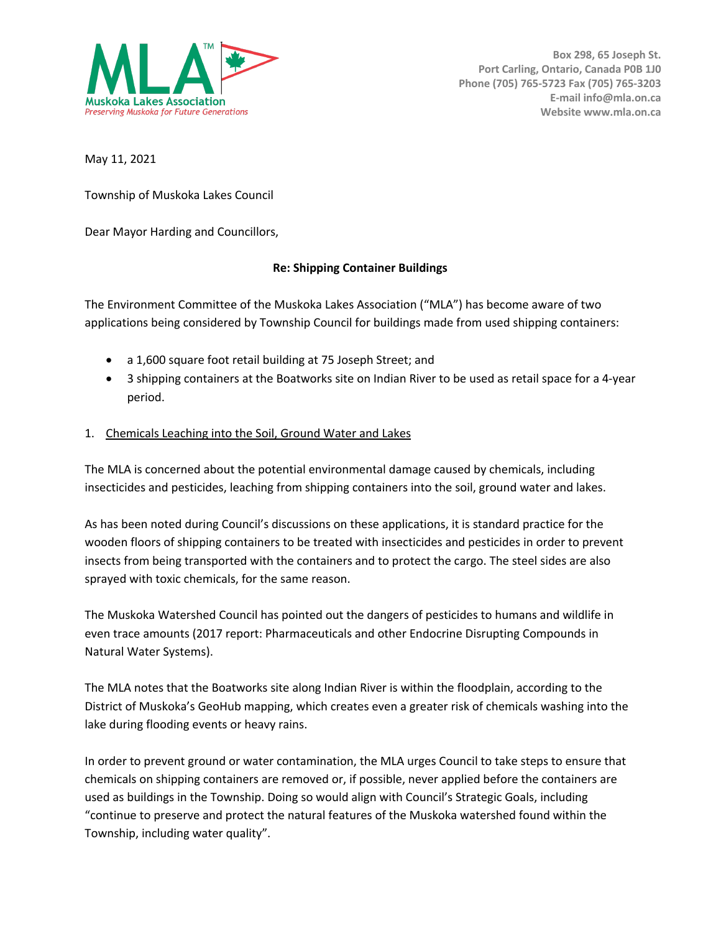

May 11, 2021

Township of Muskoka Lakes Council

Dear Mayor Harding and Councillors,

## **Re: Shipping Container Buildings**

The Environment Committee of the Muskoka Lakes Association ("MLA") has become aware of two applications being considered by Township Council for buildings made from used shipping containers:

- a 1,600 square foot retail building at 75 Joseph Street; and
- 3 shipping containers at the Boatworks site on Indian River to be used as retail space for a 4-year period.

## 1. Chemicals Leaching into the Soil, Ground Water and Lakes

The MLA is concerned about the potential environmental damage caused by chemicals, including insecticides and pesticides, leaching from shipping containers into the soil, ground water and lakes.

As has been noted during Council's discussions on these applications, it is standard practice for the wooden floors of shipping containers to be treated with insecticides and pesticides in order to prevent insects from being transported with the containers and to protect the cargo. The steel sides are also sprayed with toxic chemicals, for the same reason.

The Muskoka Watershed Council has pointed out the dangers of pesticides to humans and wildlife in even trace amounts (2017 report: Pharmaceuticals and other Endocrine Disrupting Compounds in Natural Water Systems).

The MLA notes that the Boatworks site along Indian River is within the floodplain, according to the District of Muskoka's GeoHub mapping, which creates even a greater risk of chemicals washing into the lake during flooding events or heavy rains.

In order to prevent ground or water contamination, the MLA urges Council to take steps to ensure that chemicals on shipping containers are removed or, if possible, never applied before the containers are used as buildings in the Township. Doing so would align with Council's Strategic Goals, including "continue to preserve and protect the natural features of the Muskoka watershed found within the Township, including water quality".